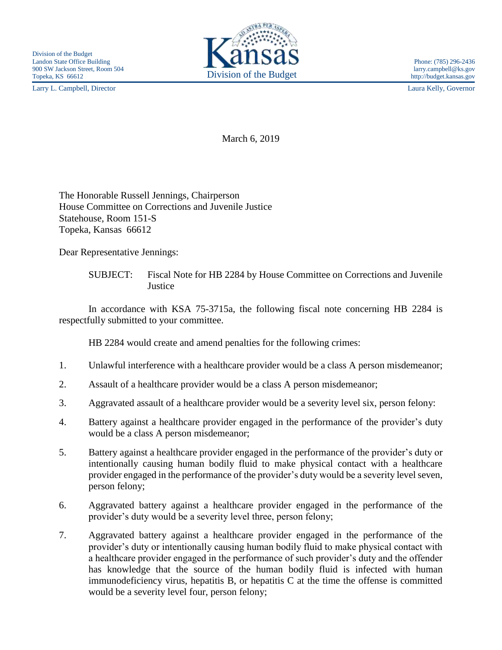Larry L. Campbell, Director Laura Kelly, Governor



http://budget.kansas.gov

March 6, 2019

The Honorable Russell Jennings, Chairperson House Committee on Corrections and Juvenile Justice Statehouse, Room 151-S Topeka, Kansas 66612

Dear Representative Jennings:

SUBJECT: Fiscal Note for HB 2284 by House Committee on Corrections and Juvenile **Justice** 

In accordance with KSA 75-3715a, the following fiscal note concerning HB 2284 is respectfully submitted to your committee.

HB 2284 would create and amend penalties for the following crimes:

- 1. Unlawful interference with a healthcare provider would be a class A person misdemeanor;
- 2. Assault of a healthcare provider would be a class A person misdemeanor;
- 3. Aggravated assault of a healthcare provider would be a severity level six, person felony:
- 4. Battery against a healthcare provider engaged in the performance of the provider's duty would be a class A person misdemeanor;
- 5. Battery against a healthcare provider engaged in the performance of the provider's duty or intentionally causing human bodily fluid to make physical contact with a healthcare provider engaged in the performance of the provider's duty would be a severity level seven, person felony;
- 6. Aggravated battery against a healthcare provider engaged in the performance of the provider's duty would be a severity level three, person felony;
- 7. Aggravated battery against a healthcare provider engaged in the performance of the provider's duty or intentionally causing human bodily fluid to make physical contact with a healthcare provider engaged in the performance of such provider's duty and the offender has knowledge that the source of the human bodily fluid is infected with human immunodeficiency virus, hepatitis B, or hepatitis C at the time the offense is committed would be a severity level four, person felony;